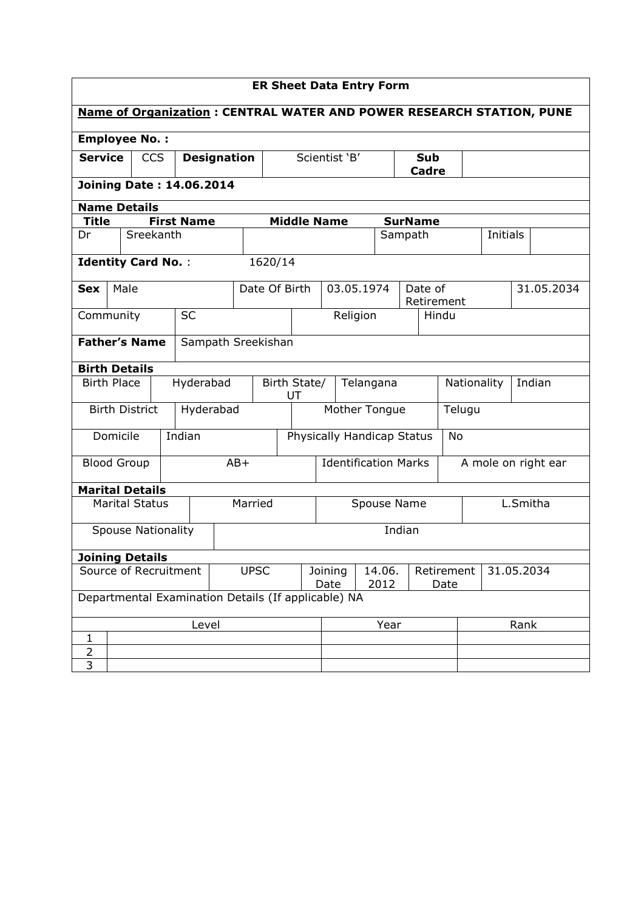| <b>ER Sheet Data Entry Form</b>                                             |                                                     |  |            |                   |                    |         |                            |                    |                |                             |  |                     |                       |            |                       |          |  |            |
|-----------------------------------------------------------------------------|-----------------------------------------------------|--|------------|-------------------|--------------------|---------|----------------------------|--------------------|----------------|-----------------------------|--|---------------------|-----------------------|------------|-----------------------|----------|--|------------|
| <b>Name of Organization: CENTRAL WATER AND POWER RESEARCH STATION, PUNE</b> |                                                     |  |            |                   |                    |         |                            |                    |                |                             |  |                     |                       |            |                       |          |  |            |
| <b>Employee No.:</b>                                                        |                                                     |  |            |                   |                    |         |                            |                    |                |                             |  |                     |                       |            |                       |          |  |            |
| <b>Service</b>                                                              |                                                     |  | <b>CCS</b> |                   | <b>Designation</b> |         | Scientist 'B'              |                    |                |                             |  | Sub<br><b>Cadre</b> |                       |            |                       |          |  |            |
|                                                                             | <b>Joining Date: 14.06.2014</b>                     |  |            |                   |                    |         |                            |                    |                |                             |  |                     |                       |            |                       |          |  |            |
| <b>Name Details</b>                                                         |                                                     |  |            |                   |                    |         |                            |                    |                |                             |  |                     |                       |            |                       |          |  |            |
| <b>Title</b>                                                                |                                                     |  |            | <b>First Name</b> |                    |         |                            | <b>Middle Name</b> |                |                             |  |                     | <b>SurName</b>        |            |                       |          |  |            |
| Dr                                                                          |                                                     |  | Sreekanth  |                   |                    |         |                            |                    |                |                             |  | Sampath             |                       |            |                       | Initials |  |            |
| <b>Identity Card No.:</b>                                                   |                                                     |  |            |                   |                    |         | 1620/14                    |                    |                |                             |  |                     |                       |            |                       |          |  |            |
| <b>Sex</b>                                                                  | Male                                                |  |            |                   |                    |         | Date Of Birth              |                    |                | 03.05.1974                  |  |                     | Date of<br>Retirement |            |                       |          |  | 31.05.2034 |
| Community                                                                   |                                                     |  |            | <b>SC</b>         |                    |         |                            |                    |                | Religion                    |  |                     |                       | Hindu      |                       |          |  |            |
|                                                                             | <b>Father's Name</b><br>Sampath Sreekishan          |  |            |                   |                    |         |                            |                    |                |                             |  |                     |                       |            |                       |          |  |            |
| <b>Birth Details</b>                                                        |                                                     |  |            |                   |                    |         |                            |                    |                |                             |  |                     |                       |            |                       |          |  |            |
| <b>Birth Place</b>                                                          |                                                     |  |            | Hyderabad         |                    |         | Birth State/<br>UT         |                    |                | Telangana                   |  |                     |                       |            | Indian<br>Nationality |          |  |            |
|                                                                             | <b>Birth District</b>                               |  |            |                   | Hyderabad          |         | Mother Tongue              |                    |                |                             |  |                     |                       |            | Telugu                |          |  |            |
|                                                                             | Domicile                                            |  |            | Indian            |                    |         | Physically Handicap Status |                    |                |                             |  |                     |                       | No         |                       |          |  |            |
| <b>Blood Group</b>                                                          |                                                     |  |            |                   |                    | $AB+$   |                            |                    |                | <b>Identification Marks</b> |  |                     |                       |            | A mole on right ear   |          |  |            |
| <b>Marital Details</b>                                                      |                                                     |  |            |                   |                    |         |                            |                    |                |                             |  |                     |                       |            |                       |          |  |            |
|                                                                             | <b>Marital Status</b>                               |  |            |                   |                    | Married |                            |                    | Spouse Name    |                             |  |                     |                       | L.Smitha   |                       |          |  |            |
|                                                                             | <b>Spouse Nationality</b>                           |  |            |                   |                    |         |                            |                    |                |                             |  | Indian              |                       |            |                       |          |  |            |
| <b>Joining Details</b>                                                      |                                                     |  |            |                   |                    |         |                            |                    |                |                             |  |                     |                       |            |                       |          |  |            |
| Source of Recruitment                                                       |                                                     |  |            | <b>UPSC</b>       |                    |         | Joining<br>Date            |                    | 14.06.<br>2012 |                             |  | Retirement<br>Date  |                       | 31.05.2034 |                       |          |  |            |
|                                                                             | Departmental Examination Details (If applicable) NA |  |            |                   |                    |         |                            |                    |                |                             |  |                     |                       |            |                       |          |  |            |
| Level                                                                       |                                                     |  |            |                   |                    |         |                            |                    |                | Year                        |  |                     | Rank                  |            |                       |          |  |            |
| 1                                                                           |                                                     |  |            |                   |                    |         |                            |                    |                |                             |  |                     |                       |            |                       |          |  |            |
| $\overline{2}$<br>3                                                         |                                                     |  |            |                   |                    |         |                            |                    |                |                             |  |                     |                       |            |                       |          |  |            |
|                                                                             |                                                     |  |            |                   |                    |         |                            |                    |                |                             |  |                     |                       |            |                       |          |  |            |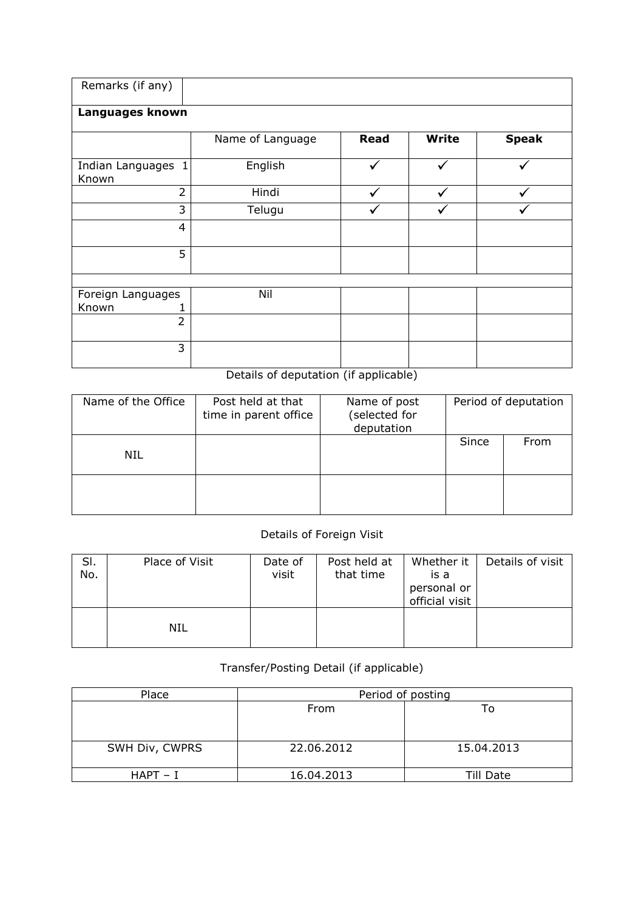| Remarks (if any)                          |                  |             |              |              |  |  |  |  |  |  |  |
|-------------------------------------------|------------------|-------------|--------------|--------------|--|--|--|--|--|--|--|
| Languages known                           |                  |             |              |              |  |  |  |  |  |  |  |
|                                           | Name of Language | <b>Read</b> | <b>Write</b> | <b>Speak</b> |  |  |  |  |  |  |  |
| Indian Languages<br>$\mathbf{1}$<br>Known | English          |             |              |              |  |  |  |  |  |  |  |
| $\overline{2}$                            | Hindi            |             |              |              |  |  |  |  |  |  |  |
| 3                                         | Telugu           |             |              |              |  |  |  |  |  |  |  |
| $\overline{4}$                            |                  |             |              |              |  |  |  |  |  |  |  |
| 5                                         |                  |             |              |              |  |  |  |  |  |  |  |
|                                           |                  |             |              |              |  |  |  |  |  |  |  |
| Foreign Languages<br>Known                | Nil              |             |              |              |  |  |  |  |  |  |  |
| $\overline{2}$                            |                  |             |              |              |  |  |  |  |  |  |  |
| 3                                         |                  |             |              |              |  |  |  |  |  |  |  |

## Details of deputation (if applicable)

| Name of the Office | Post held at that<br>time in parent office | Name of post<br>(selected for<br>deputation |       | Period of deputation |  |
|--------------------|--------------------------------------------|---------------------------------------------|-------|----------------------|--|
| NIL                |                                            |                                             | Since | From                 |  |
|                    |                                            |                                             |       |                      |  |

## Details of Foreign Visit

| SI.<br>No. | Place of Visit | Date of<br>visit | Post held at<br>that time | Whether it  <br>is a<br>personal or<br>official visit | Details of visit |
|------------|----------------|------------------|---------------------------|-------------------------------------------------------|------------------|
|            | NIL            |                  |                           |                                                       |                  |

## Transfer/Posting Detail (if applicable)

| Place          | Period of posting |            |  |  |  |  |  |
|----------------|-------------------|------------|--|--|--|--|--|
|                | From              | Гo         |  |  |  |  |  |
|                |                   |            |  |  |  |  |  |
|                |                   |            |  |  |  |  |  |
| SWH Div, CWPRS | 22.06.2012        | 15.04.2013 |  |  |  |  |  |
|                |                   |            |  |  |  |  |  |
| $HAPT - I$     | 16.04.2013        | Till Date  |  |  |  |  |  |